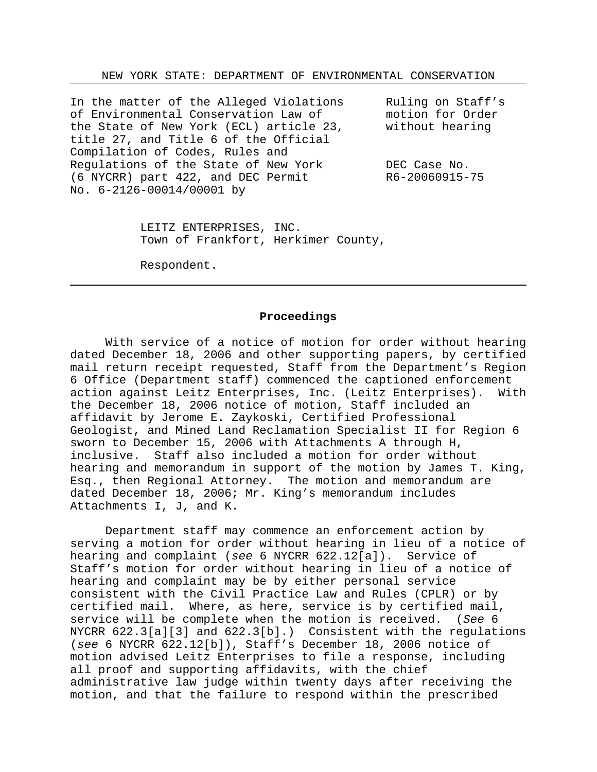NEW YORK STATE: DEPARTMENT OF ENVIRONMENTAL CONSERVATION

In the matter of the Alleged Violations Ruling on Staff's of Environmental Conservation Law of motion for Order the State of New York (ECL) article 23, without hearing title 27, and Title 6 of the Official Compilation of Codes, Rules and Regulations of the State of New York DEC Case No. (6 NYCRR) part 422, and DEC Permit R6-20060915-75 No. 6-2126-00014/00001 by

LEITZ ENTERPRISES, INC. Town of Frankfort, Herkimer County,

Respondent.

### **Proceedings**

With service of a notice of motion for order without hearing dated December 18, 2006 and other supporting papers, by certified mail return receipt requested, Staff from the Department's Region 6 Office (Department staff) commenced the captioned enforcement action against Leitz Enterprises, Inc. (Leitz Enterprises). With the December 18, 2006 notice of motion, Staff included an affidavit by Jerome E. Zaykoski, Certified Professional Geologist, and Mined Land Reclamation Specialist II for Region 6 sworn to December 15, 2006 with Attachments A through H, inclusive. Staff also included a motion for order without hearing and memorandum in support of the motion by James T. King, Esq., then Regional Attorney. The motion and memorandum are dated December 18, 2006; Mr. King's memorandum includes Attachments I, J, and K.

Department staff may commence an enforcement action by serving a motion for order without hearing in lieu of a notice of hearing and complaint (*see* 6 NYCRR 622.12[a]). Service of Staff's motion for order without hearing in lieu of a notice of hearing and complaint may be by either personal service consistent with the Civil Practice Law and Rules (CPLR) or by certified mail. Where, as here, service is by certified mail, service will be complete when the motion is received. (*See* 6 NYCRR 622.3[a][3] and 622.3[b].) Consistent with the regulations (*see* 6 NYCRR 622.12[b]), Staff's December 18, 2006 notice of motion advised Leitz Enterprises to file a response, including all proof and supporting affidavits, with the chief administrative law judge within twenty days after receiving the motion, and that the failure to respond within the prescribed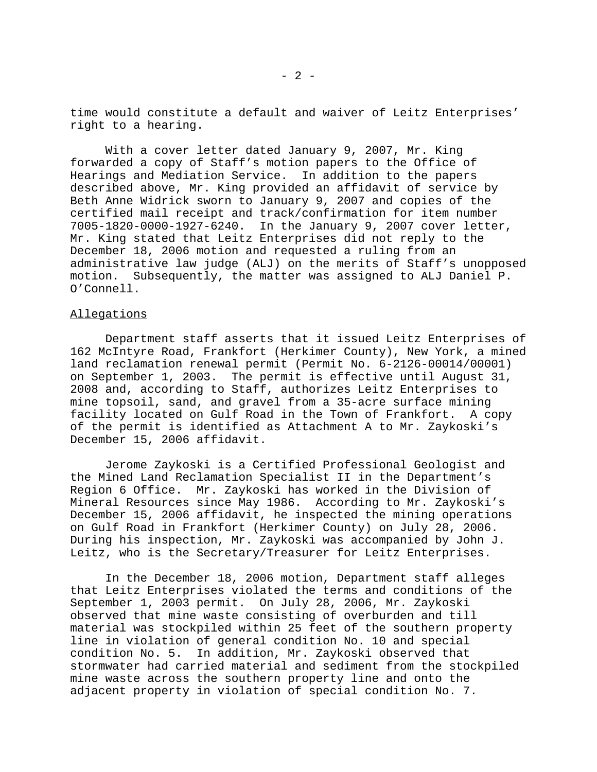time would constitute a default and waiver of Leitz Enterprises' right to a hearing.

With a cover letter dated January 9, 2007, Mr. King forwarded a copy of Staff's motion papers to the Office of Hearings and Mediation Service. In addition to the papers described above, Mr. King provided an affidavit of service by Beth Anne Widrick sworn to January 9, 2007 and copies of the certified mail receipt and track/confirmation for item number 7005-1820-0000-1927-6240. In the January 9, 2007 cover letter, Mr. King stated that Leitz Enterprises did not reply to the December 18, 2006 motion and requested a ruling from an administrative law judge (ALJ) on the merits of Staff's unopposed motion. Subsequently, the matter was assigned to ALJ Daniel P. O'Connell.

#### Allegations

Department staff asserts that it issued Leitz Enterprises of 162 McIntyre Road, Frankfort (Herkimer County), New York, a mined land reclamation renewal permit (Permit No. 6-2126-00014/00001) on September 1, 2003. The permit is effective until August 31, 2008 and, according to Staff, authorizes Leitz Enterprises to mine topsoil, sand, and gravel from a 35-acre surface mining facility located on Gulf Road in the Town of Frankfort. A copy of the permit is identified as Attachment A to Mr. Zaykoski's December 15, 2006 affidavit.

Jerome Zaykoski is a Certified Professional Geologist and the Mined Land Reclamation Specialist II in the Department's Region 6 Office. Mr. Zaykoski has worked in the Division of Mineral Resources since May 1986. According to Mr. Zaykoski's December 15, 2006 affidavit, he inspected the mining operations on Gulf Road in Frankfort (Herkimer County) on July 28, 2006. During his inspection, Mr. Zaykoski was accompanied by John J. Leitz, who is the Secretary/Treasurer for Leitz Enterprises.

In the December 18, 2006 motion, Department staff alleges that Leitz Enterprises violated the terms and conditions of the September 1, 2003 permit. On July 28, 2006, Mr. Zaykoski observed that mine waste consisting of overburden and till material was stockpiled within 25 feet of the southern property line in violation of general condition No. 10 and special condition No. 5. In addition, Mr. Zaykoski observed that stormwater had carried material and sediment from the stockpiled mine waste across the southern property line and onto the adjacent property in violation of special condition No. 7.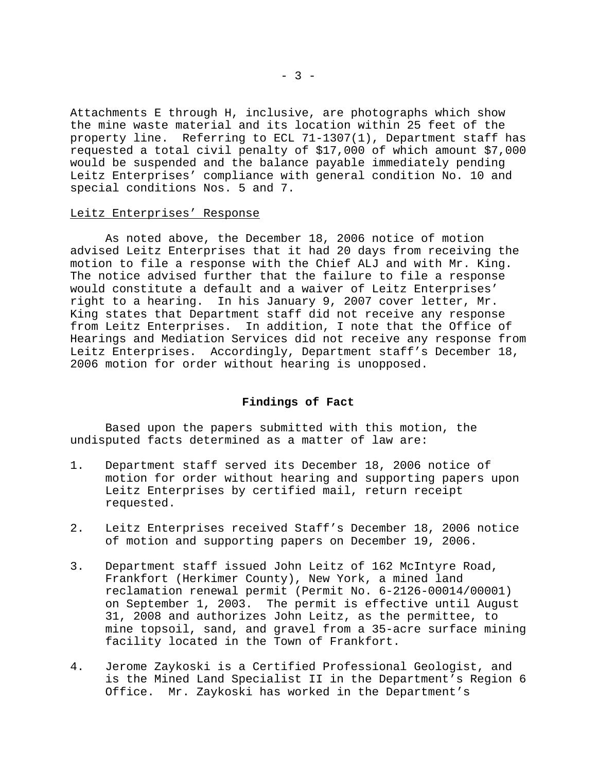Attachments E through H, inclusive, are photographs which show the mine waste material and its location within 25 feet of the property line. Referring to ECL 71-1307(1), Department staff has requested a total civil penalty of \$17,000 of which amount \$7,000 would be suspended and the balance payable immediately pending Leitz Enterprises' compliance with general condition No. 10 and special conditions Nos. 5 and 7.

#### Leitz Enterprises' Response

As noted above, the December 18, 2006 notice of motion advised Leitz Enterprises that it had 20 days from receiving the motion to file a response with the Chief ALJ and with Mr. King. The notice advised further that the failure to file a response would constitute a default and a waiver of Leitz Enterprises' right to a hearing. In his January 9, 2007 cover letter, Mr. King states that Department staff did not receive any response from Leitz Enterprises. In addition, I note that the Office of Hearings and Mediation Services did not receive any response from Leitz Enterprises. Accordingly, Department staff's December 18, 2006 motion for order without hearing is unopposed.

## **Findings of Fact**

Based upon the papers submitted with this motion, the undisputed facts determined as a matter of law are:

- 1. Department staff served its December 18, 2006 notice of motion for order without hearing and supporting papers upon Leitz Enterprises by certified mail, return receipt requested.
- 2. Leitz Enterprises received Staff's December 18, 2006 notice of motion and supporting papers on December 19, 2006.
- 3. Department staff issued John Leitz of 162 McIntyre Road, Frankfort (Herkimer County), New York, a mined land reclamation renewal permit (Permit No. 6-2126-00014/00001) on September 1, 2003. The permit is effective until August 31, 2008 and authorizes John Leitz, as the permittee, to mine topsoil, sand, and gravel from a 35-acre surface mining facility located in the Town of Frankfort.
- 4. Jerome Zaykoski is a Certified Professional Geologist, and is the Mined Land Specialist II in the Department's Region 6 Office. Mr. Zaykoski has worked in the Department's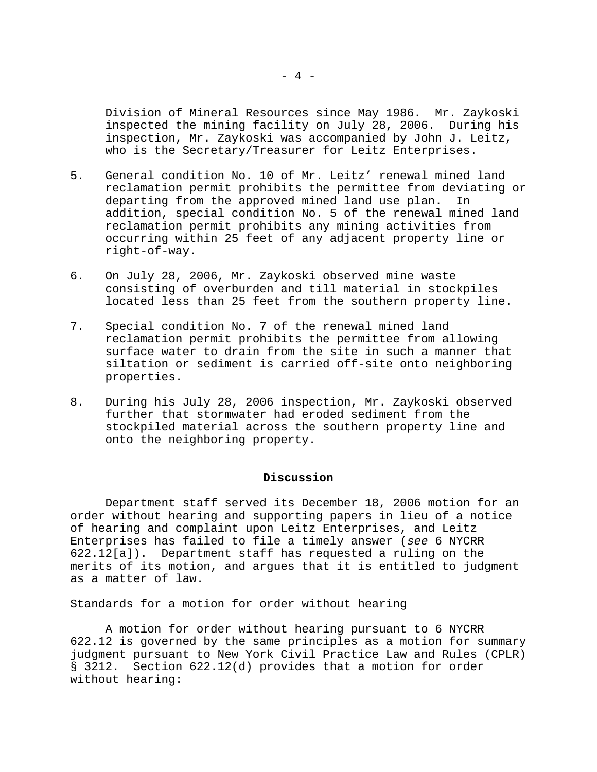Division of Mineral Resources since May 1986. Mr. Zaykoski inspected the mining facility on July 28, 2006. During his inspection, Mr. Zaykoski was accompanied by John J. Leitz, who is the Secretary/Treasurer for Leitz Enterprises.

- 5. General condition No. 10 of Mr. Leitz' renewal mined land reclamation permit prohibits the permittee from deviating or departing from the approved mined land use plan. In addition, special condition No. 5 of the renewal mined land reclamation permit prohibits any mining activities from occurring within 25 feet of any adjacent property line or right-of-way.
- 6. On July 28, 2006, Mr. Zaykoski observed mine waste consisting of overburden and till material in stockpiles located less than 25 feet from the southern property line.
- 7. Special condition No. 7 of the renewal mined land reclamation permit prohibits the permittee from allowing surface water to drain from the site in such a manner that siltation or sediment is carried off-site onto neighboring properties.
- 8. During his July 28, 2006 inspection, Mr. Zaykoski observed further that stormwater had eroded sediment from the stockpiled material across the southern property line and onto the neighboring property.

### **Discussion**

Department staff served its December 18, 2006 motion for an order without hearing and supporting papers in lieu of a notice of hearing and complaint upon Leitz Enterprises, and Leitz Enterprises has failed to file a timely answer (*see* 6 NYCRR 622.12[a]). Department staff has requested a ruling on the merits of its motion, and argues that it is entitled to judgment as a matter of law.

#### Standards for a motion for order without hearing

A motion for order without hearing pursuant to 6 NYCRR 622.12 is governed by the same principles as a motion for summary judgment pursuant to New York Civil Practice Law and Rules (CPLR) § 3212. Section 622.12(d) provides that a motion for order without hearing: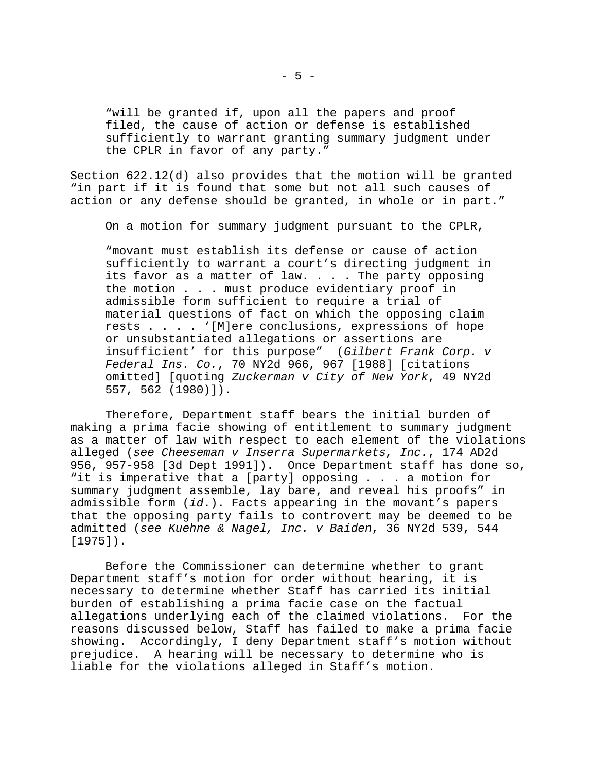"will be granted if, upon all the papers and proof filed, the cause of action or defense is established sufficiently to warrant granting summary judgment under the CPLR in favor of any party."

Section 622.12(d) also provides that the motion will be granted "in part if it is found that some but not all such causes of action or any defense should be granted, in whole or in part."

On a motion for summary judgment pursuant to the CPLR,

"movant must establish its defense or cause of action sufficiently to warrant a court's directing judgment in its favor as a matter of law.  $\ldots$  . The party opposing the motion . . . must produce evidentiary proof in admissible form sufficient to require a trial of material questions of fact on which the opposing claim rests . . . . '[M]ere conclusions, expressions of hope or unsubstantiated allegations or assertions are insufficient' for this purpose" (*Gilbert Frank Corp. v Federal Ins. Co.*, 70 NY2d 966, 967 [1988] [citations omitted] [quoting *Zuckerman v City of New York*, 49 NY2d 557, 562 (1980)]).

Therefore, Department staff bears the initial burden of making a prima facie showing of entitlement to summary judgment as a matter of law with respect to each element of the violations alleged (*see Cheeseman v Inserra Supermarkets, Inc.*, 174 AD2d 956, 957-958 [3d Dept 1991]). Once Department staff has done so, "it is imperative that a [party] opposing . . . a motion for summary judgment assemble, lay bare, and reveal his proofs" in admissible form (*id*.). Facts appearing in the movant's papers that the opposing party fails to controvert may be deemed to be admitted (*see Kuehne & Nagel, Inc. v Baiden*, 36 NY2d 539, 544 [1975]).

Before the Commissioner can determine whether to grant Department staff's motion for order without hearing, it is necessary to determine whether Staff has carried its initial burden of establishing a prima facie case on the factual allegations underlying each of the claimed violations. For the reasons discussed below, Staff has failed to make a prima facie showing. Accordingly, I deny Department staff's motion without prejudice. A hearing will be necessary to determine who is liable for the violations alleged in Staff's motion.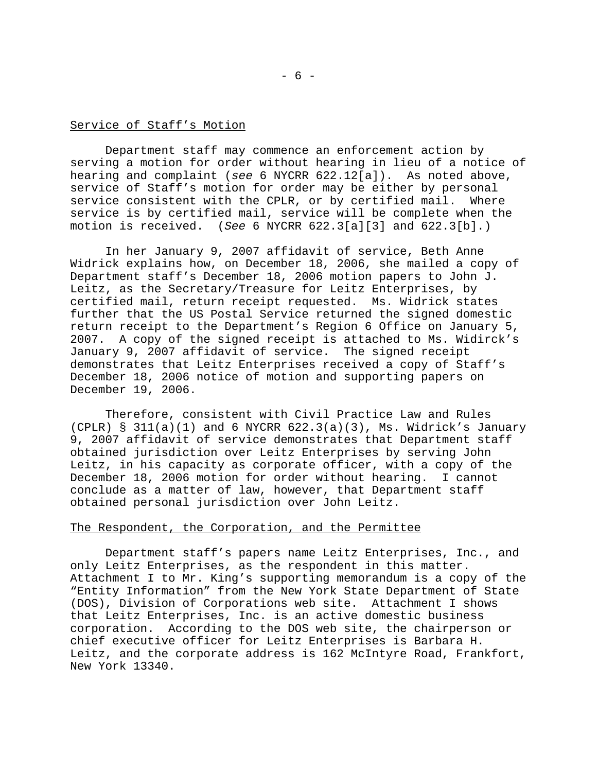# Service of Staff's Motion

Department staff may commence an enforcement action by serving a motion for order without hearing in lieu of a notice of hearing and complaint (*see* 6 NYCRR 622.12[a]). As noted above, service of Staff's motion for order may be either by personal service consistent with the CPLR, or by certified mail. Where service is by certified mail, service will be complete when the motion is received. (*See* 6 NYCRR 622.3[a][3] and 622.3[b].)

In her January 9, 2007 affidavit of service, Beth Anne Widrick explains how, on December 18, 2006, she mailed a copy of Department staff's December 18, 2006 motion papers to John J. Leitz, as the Secretary/Treasure for Leitz Enterprises, by certified mail, return receipt requested. Ms. Widrick states further that the US Postal Service returned the signed domestic return receipt to the Department's Region 6 Office on January 5, 2007. A copy of the signed receipt is attached to Ms. Widirck's January 9, 2007 affidavit of service. The signed receipt demonstrates that Leitz Enterprises received a copy of Staff's December 18, 2006 notice of motion and supporting papers on December 19, 2006.

Therefore, consistent with Civil Practice Law and Rules (CPLR)  $\S$  311(a)(1) and 6 NYCRR  $622.3(a)(3)$ , Ms. Widrick's January 9, 2007 affidavit of service demonstrates that Department staff obtained jurisdiction over Leitz Enterprises by serving John Leitz, in his capacity as corporate officer, with a copy of the December 18, 2006 motion for order without hearing. I cannot conclude as a matter of law, however, that Department staff obtained personal jurisdiction over John Leitz.

### The Respondent, the Corporation, and the Permittee

Department staff's papers name Leitz Enterprises, Inc., and only Leitz Enterprises, as the respondent in this matter. Attachment I to Mr. King's supporting memorandum is a copy of the "Entity Information" from the New York State Department of State (DOS), Division of Corporations web site. Attachment I shows that Leitz Enterprises, Inc. is an active domestic business corporation. According to the DOS web site, the chairperson or chief executive officer for Leitz Enterprises is Barbara H. Leitz, and the corporate address is 162 McIntyre Road, Frankfort, New York 13340.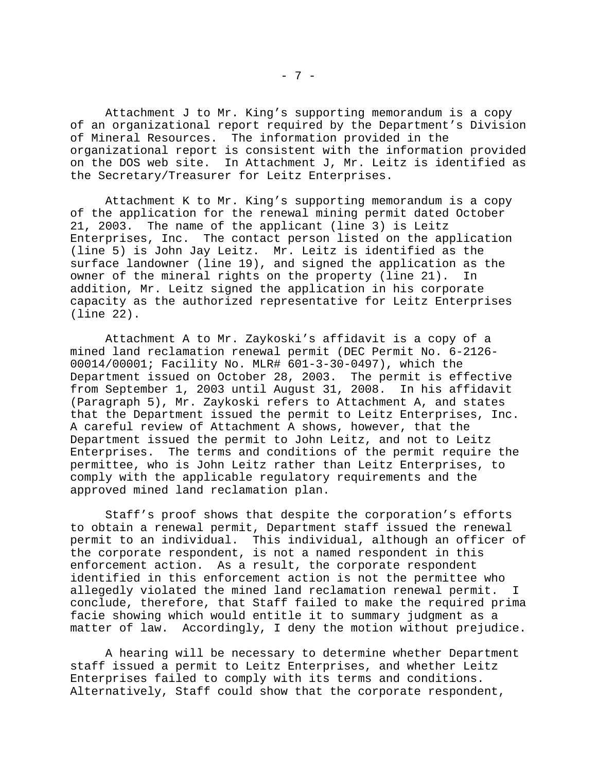Attachment J to Mr. King's supporting memorandum is a copy of an organizational report required by the Department's Division of Mineral Resources. The information provided in the organizational report is consistent with the information provided on the DOS web site. In Attachment J, Mr. Leitz is identified as the Secretary/Treasurer for Leitz Enterprises.

Attachment K to Mr. King's supporting memorandum is a copy of the application for the renewal mining permit dated October 21, 2003. The name of the applicant (line 3) is Leitz Enterprises, Inc. The contact person listed on the application (line 5) is John Jay Leitz. Mr. Leitz is identified as the surface landowner (line 19), and signed the application as the owner of the mineral rights on the property (line 21). In addition, Mr. Leitz signed the application in his corporate capacity as the authorized representative for Leitz Enterprises (line 22).

Attachment A to Mr. Zaykoski's affidavit is a copy of a mined land reclamation renewal permit (DEC Permit No. 6-2126- 00014/00001; Facility No. MLR# 601-3-30-0497), which the Department issued on October 28, 2003. The permit is effective from September 1, 2003 until August 31, 2008. In his affidavit (Paragraph 5), Mr. Zaykoski refers to Attachment A, and states that the Department issued the permit to Leitz Enterprises, Inc. A careful review of Attachment A shows, however, that the Department issued the permit to John Leitz, and not to Leitz Enterprises. The terms and conditions of the permit require the permittee, who is John Leitz rather than Leitz Enterprises, to comply with the applicable regulatory requirements and the approved mined land reclamation plan.

Staff's proof shows that despite the corporation's efforts to obtain a renewal permit, Department staff issued the renewal permit to an individual. This individual, although an officer of the corporate respondent, is not a named respondent in this enforcement action. As a result, the corporate respondent identified in this enforcement action is not the permittee who allegedly violated the mined land reclamation renewal permit. I conclude, therefore, that Staff failed to make the required prima facie showing which would entitle it to summary judgment as a matter of law. Accordingly, I deny the motion without prejudice.

A hearing will be necessary to determine whether Department staff issued a permit to Leitz Enterprises, and whether Leitz Enterprises failed to comply with its terms and conditions. Alternatively, Staff could show that the corporate respondent,